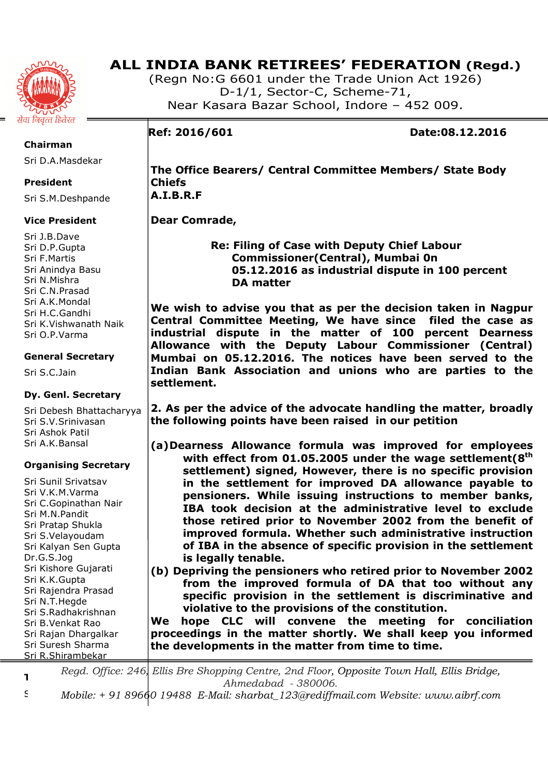

# **ALL INDIA BANK RETIREES' FEDERATION (Regd.)**

(Regn No:G 6601 under the Trade Union Act 1926) D-1/1, Sector-C, Scheme-71, Near Kasara Bazar School, Indore – 452 009.

# **Ref: 2016/601 Date:08.12.2016**

**Chairman** 

Sri D.A.Masdekar

# **President**

Sri S.M.Deshpande

# **Vice President**

Sri J.B.Dave Sri D.P.Gupta Sri F.Martis Sri Anindya Basu Sri N.Mishra Sri C.N.Prasad Sri A.K.Mondal Sri H.C.Gandhi Sri K.Vishwanath Naik Sri O.P.Varma

# **General Secretary**

Sri S.C.Jain

# **Dy. Genl. Secretary**

Sri Debesh Bhattacharyya Sri S.V.Srinivasan Sri Ashok Patil Sri A.K.Bansal

# **Organising Secretary**

Sri Sunil Srivatsav Sri V.K.M.Varma Sri C.Gopinathan Nair Sri M.N.Pandit Sri Pratap Shukla Sri S.Velayoudam Sri Kalyan Sen Gupta Dr.G.S.Jog Sri Kishore Gujarati Sri K.K.Gupta Sri Rajendra Prasad Sri N.T.Hegde Sri S.Radhakrishnan Sri B.Venkat Rao Sri Rajan Dhargalkar Sri Suresh Sharma Sri R.Shirambekar

**The Office Bearers/ Central Committee Members/ State Body Chiefs A.I.B.R.F** 

# **Dear Comrade,**

 **Re: Filing of Case with Deputy Chief Labour Commissioner(Central), Mumbai 0n 05.12.2016 as industrial dispute in 100 percent DA matter** 

**We wish to advise you that as per the decision taken in Nagpur Central Committee Meeting, We have since filed the case as industrial dispute in the matter of 100 percent Dearness Allowance with the Deputy Labour Commissioner (Central) Mumbai on 05.12.2016. The notices have been served to the Indian Bank Association and unions who are parties to the settlement.** 

**2. As per the advice of the advocate handling the matter, broadly the following points have been raised in our petition** 

- **(a)Dearness Allowance formula was improved for employees with effect from 01.05.2005 under the wage settlement(8th settlement) signed, However, there is no specific provision in the settlement for improved DA allowance payable to pensioners. While issuing instructions to member banks, IBA took decision at the administrative level to exclude those retired prior to November 2002 from the benefit of improved formula. Whether such administrative instruction of IBA in the absence of specific provision in the settlement is legally tenable.**
- **(b) Depriving the pensioners who retired prior to November 2002 from the improved formula of DA that too without any specific provision in the settlement is discriminative and violative to the provisions of the constitution.**

**We hope CLC will convene the meeting for conciliation proceedings in the matter shortly. We shall keep you informed the developments in the matter from time to time.** 

**Treasurer**  *Regd. Office: 246, Ellis Bre Shopping Centre, 2nd Floor, Opposite Town Hall, Ellis Bridge, Ahmedabad - 380006.* 

Sri M.S.Chourey *Mobile: + 91 89660 19488 E-Mail: sharbat\_123@rediffmail.com Website: www.aibrf.com*